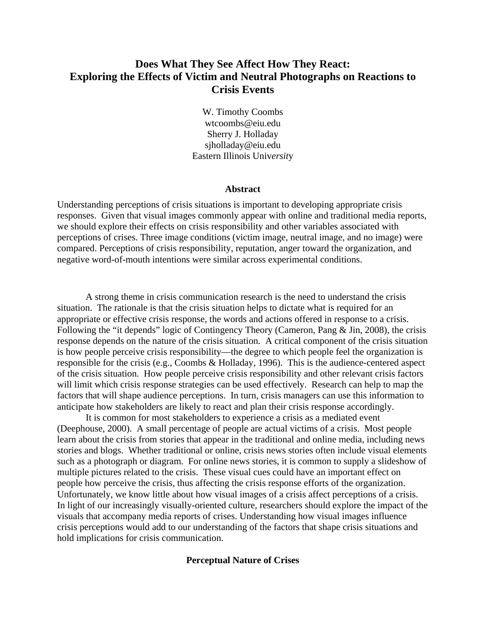# **Does What They See Affect How They React: Exploring the Effects of Victim and Neutral Photographs on Reactions to Crisis Events**

W. Timothy Coombs wtcoombs@eiu.edu Sherry J. Holladay sjholladay@eiu.edu Eastern Illinois Univ*ersit*y

#### **Abstract**

Understanding perceptions of crisis situations is important to developing appropriate crisis responses. Given that visual images commonly appear with online and traditional media reports, we should explore their effects on crisis responsibility and other variables associated with perceptions of crises. Three image conditions (victim image, neutral image, and no image) were compared. Perceptions of crisis responsibility, reputation, anger toward the organization, and negative word-of-mouth intentions were similar across experimental conditions.

 A strong theme in crisis communication research is the need to understand the crisis situation. The rationale is that the crisis situation helps to dictate what is required for an appropriate or effective crisis response, the words and actions offered in response to a crisis. Following the "it depends" logic of Contingency Theory (Cameron, Pang & Jin, 2008), the crisis response depends on the nature of the crisis situation. A critical component of the crisis situation is how people perceive crisis responsibility—the degree to which people feel the organization is responsible for the crisis (e.g., Coombs & Holladay, 1996). This is the audience-centered aspect of the crisis situation. How people perceive crisis responsibility and other relevant crisis factors will limit which crisis response strategies can be used effectively. Research can help to map the factors that will shape audience perceptions. In turn, crisis managers can use this information to anticipate how stakeholders are likely to react and plan their crisis response accordingly.

 It is common for most stakeholders to experience a crisis as a mediated event (Deephouse, 2000). A small percentage of people are actual victims of a crisis. Most people learn about the crisis from stories that appear in the traditional and online media, including news stories and blogs. Whether traditional or online, crisis news stories often include visual elements such as a photograph or diagram. For online news stories, it is common to supply a slideshow of multiple pictures related to the crisis. These visual cues could have an important effect on people how perceive the crisis, thus affecting the crisis response efforts of the organization. Unfortunately, we know little about how visual images of a crisis affect perceptions of a crisis. In light of our increasingly visually-oriented culture, researchers should explore the impact of the visuals that accompany media reports of crises. Understanding how visual images influence crisis perceptions would add to our understanding of the factors that shape crisis situations and hold implications for crisis communication.

## **Perceptual Nature of Crises**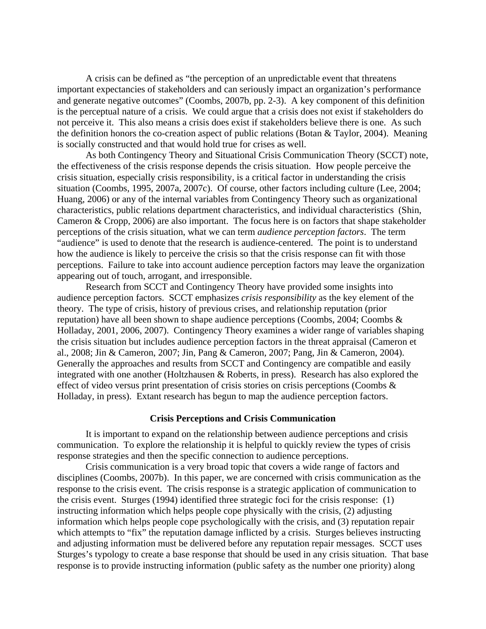A crisis can be defined as "the perception of an unpredictable event that threatens important expectancies of stakeholders and can seriously impact an organization's performance and generate negative outcomes" (Coombs, 2007b, pp. 2-3). A key component of this definition is the perceptual nature of a crisis. We could argue that a crisis does not exist if stakeholders do not perceive it. This also means a crisis does exist if stakeholders believe there is one. As such the definition honors the co-creation aspect of public relations (Botan & Taylor, 2004). Meaning is socially constructed and that would hold true for crises as well.

 As both Contingency Theory and Situational Crisis Communication Theory (SCCT) note, the effectiveness of the crisis response depends the crisis situation. How people perceive the crisis situation, especially crisis responsibility, is a critical factor in understanding the crisis situation (Coombs, 1995, 2007a, 2007c). Of course, other factors including culture (Lee, 2004; Huang, 2006) or any of the internal variables from Contingency Theory such as organizational characteristics, public relations department characteristics, and individual characteristics (Shin, Cameron & Cropp, 2006) are also important. The focus here is on factors that shape stakeholder perceptions of the crisis situation, what we can term *audience perception factors*. The term "audience" is used to denote that the research is audience-centered. The point is to understand how the audience is likely to perceive the crisis so that the crisis response can fit with those perceptions. Failure to take into account audience perception factors may leave the organization appearing out of touch, arrogant, and irresponsible.

 Research from SCCT and Contingency Theory have provided some insights into audience perception factors. SCCT emphasizes *crisis responsibility* as the key element of the theory. The type of crisis, history of previous crises, and relationship reputation (prior reputation) have all been shown to shape audience perceptions (Coombs, 2004; Coombs & Holladay, 2001, 2006, 2007). Contingency Theory examines a wider range of variables shaping the crisis situation but includes audience perception factors in the threat appraisal (Cameron et al., 2008; Jin & Cameron, 2007; Jin, Pang & Cameron, 2007; Pang, Jin & Cameron, 2004). Generally the approaches and results from SCCT and Contingency are compatible and easily integrated with one another (Holtzhausen & Roberts, in press). Research has also explored the effect of video versus print presentation of crisis stories on crisis perceptions (Coombs & Holladay, in press). Extant research has begun to map the audience perception factors.

## **Crisis Perceptions and Crisis Communication**

 It is important to expand on the relationship between audience perceptions and crisis communication. To explore the relationship it is helpful to quickly review the types of crisis response strategies and then the specific connection to audience perceptions.

 Crisis communication is a very broad topic that covers a wide range of factors and disciplines (Coombs, 2007b). In this paper, we are concerned with crisis communication as the response to the crisis event. The crisis response is a strategic application of communication to the crisis event. Sturges (1994) identified three strategic foci for the crisis response: (1) instructing information which helps people cope physically with the crisis, (2) adjusting information which helps people cope psychologically with the crisis, and (3) reputation repair which attempts to "fix" the reputation damage inflicted by a crisis. Sturges believes instructing and adjusting information must be delivered before any reputation repair messages. SCCT uses Sturges's typology to create a base response that should be used in any crisis situation. That base response is to provide instructing information (public safety as the number one priority) along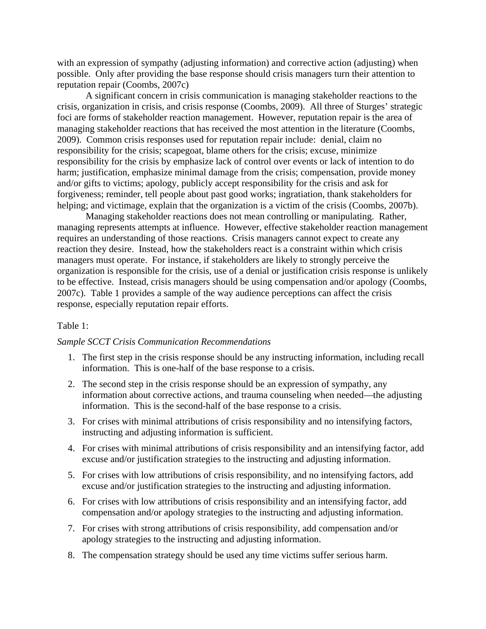with an expression of sympathy (adjusting information) and corrective action (adjusting) when possible. Only after providing the base response should crisis managers turn their attention to reputation repair (Coombs, 2007c)

A significant concern in crisis communication is managing stakeholder reactions to the crisis, organization in crisis, and crisis response (Coombs, 2009). All three of Sturges' strategic foci are forms of stakeholder reaction management. However, reputation repair is the area of managing stakeholder reactions that has received the most attention in the literature (Coombs, 2009). Common crisis responses used for reputation repair include: denial, claim no responsibility for the crisis; scapegoat, blame others for the crisis; excuse, minimize responsibility for the crisis by emphasize lack of control over events or lack of intention to do harm; justification, emphasize minimal damage from the crisis; compensation, provide money and/or gifts to victims; apology, publicly accept responsibility for the crisis and ask for forgiveness; reminder, tell people about past good works; ingratiation, thank stakeholders for helping; and victimage, explain that the organization is a victim of the crisis (Coombs, 2007b).

Managing stakeholder reactions does not mean controlling or manipulating. Rather, managing represents attempts at influence. However, effective stakeholder reaction management requires an understanding of those reactions. Crisis managers cannot expect to create any reaction they desire. Instead, how the stakeholders react is a constraint within which crisis managers must operate. For instance, if stakeholders are likely to strongly perceive the organization is responsible for the crisis, use of a denial or justification crisis response is unlikely to be effective. Instead, crisis managers should be using compensation and/or apology (Coombs, 2007c). Table 1 provides a sample of the way audience perceptions can affect the crisis response, especially reputation repair efforts.

# Table 1:

## *Sample SCCT Crisis Communication Recommendations*

- 1. The first step in the crisis response should be any instructing information, including recall information. This is one-half of the base response to a crisis.
- 2. The second step in the crisis response should be an expression of sympathy, any information about corrective actions, and trauma counseling when needed—the adjusting information. This is the second-half of the base response to a crisis.
- 3. For crises with minimal attributions of crisis responsibility and no intensifying factors, instructing and adjusting information is sufficient.
- 4. For crises with minimal attributions of crisis responsibility and an intensifying factor, add excuse and/or justification strategies to the instructing and adjusting information.
- 5. For crises with low attributions of crisis responsibility, and no intensifying factors, add excuse and/or justification strategies to the instructing and adjusting information.
- 6. For crises with low attributions of crisis responsibility and an intensifying factor, add compensation and/or apology strategies to the instructing and adjusting information.
- 7. For crises with strong attributions of crisis responsibility, add compensation and/or apology strategies to the instructing and adjusting information.
- 8. The compensation strategy should be used any time victims suffer serious harm.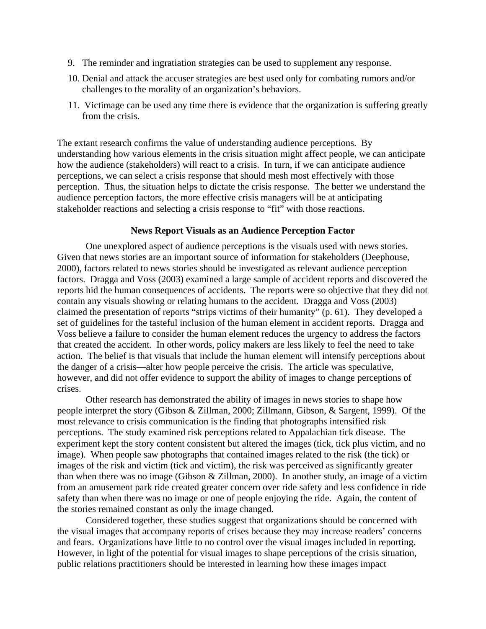- 9. The reminder and ingratiation strategies can be used to supplement any response.
- 10. Denial and attack the accuser strategies are best used only for combating rumors and/or challenges to the morality of an organization's behaviors.
- 11. Victimage can be used any time there is evidence that the organization is suffering greatly from the crisis.

The extant research confirms the value of understanding audience perceptions. By understanding how various elements in the crisis situation might affect people, we can anticipate how the audience (stakeholders) will react to a crisis. In turn, if we can anticipate audience perceptions, we can select a crisis response that should mesh most effectively with those perception. Thus, the situation helps to dictate the crisis response. The better we understand the audience perception factors, the more effective crisis managers will be at anticipating stakeholder reactions and selecting a crisis response to "fit" with those reactions.

#### **News Report Visuals as an Audience Perception Factor**

 One unexplored aspect of audience perceptions is the visuals used with news stories. Given that news stories are an important source of information for stakeholders (Deephouse, 2000), factors related to news stories should be investigated as relevant audience perception factors. Dragga and Voss (2003) examined a large sample of accident reports and discovered the reports hid the human consequences of accidents. The reports were so objective that they did not contain any visuals showing or relating humans to the accident. Dragga and Voss (2003) claimed the presentation of reports "strips victims of their humanity" (p. 61). They developed a set of guidelines for the tasteful inclusion of the human element in accident reports. Dragga and Voss believe a failure to consider the human element reduces the urgency to address the factors that created the accident. In other words, policy makers are less likely to feel the need to take action. The belief is that visuals that include the human element will intensify perceptions about the danger of a crisis—alter how people perceive the crisis. The article was speculative, however, and did not offer evidence to support the ability of images to change perceptions of crises.

Other research has demonstrated the ability of images in news stories to shape how people interpret the story (Gibson & Zillman, 2000; Zillmann, Gibson, & Sargent, 1999). Of the most relevance to crisis communication is the finding that photographs intensified risk perceptions. The study examined risk perceptions related to Appalachian tick disease. The experiment kept the story content consistent but altered the images (tick, tick plus victim, and no image). When people saw photographs that contained images related to the risk (the tick) or images of the risk and victim (tick and victim), the risk was perceived as significantly greater than when there was no image (Gibson & Zillman, 2000). In another study, an image of a victim from an amusement park ride created greater concern over ride safety and less confidence in ride safety than when there was no image or one of people enjoying the ride. Again, the content of the stories remained constant as only the image changed.

Considered together, these studies suggest that organizations should be concerned with the visual images that accompany reports of crises because they may increase readers' concerns and fears. Organizations have little to no control over the visual images included in reporting. However, in light of the potential for visual images to shape perceptions of the crisis situation, public relations practitioners should be interested in learning how these images impact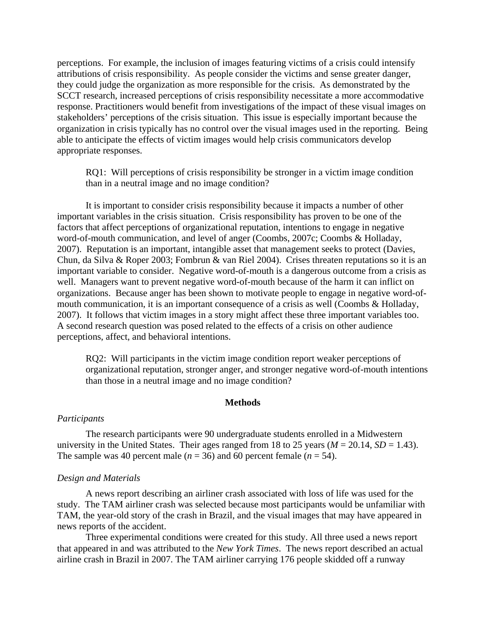perceptions. For example, the inclusion of images featuring victims of a crisis could intensify attributions of crisis responsibility. As people consider the victims and sense greater danger, they could judge the organization as more responsible for the crisis. As demonstrated by the SCCT research, increased perceptions of crisis responsibility necessitate a more accommodative response. Practitioners would benefit from investigations of the impact of these visual images on stakeholders' perceptions of the crisis situation. This issue is especially important because the organization in crisis typically has no control over the visual images used in the reporting. Being able to anticipate the effects of victim images would help crisis communicators develop appropriate responses.

RQ1: Will perceptions of crisis responsibility be stronger in a victim image condition than in a neutral image and no image condition?

It is important to consider crisis responsibility because it impacts a number of other important variables in the crisis situation. Crisis responsibility has proven to be one of the factors that affect perceptions of organizational reputation, intentions to engage in negative word-of-mouth communication, and level of anger (Coombs, 2007c; Coombs & Holladay, 2007). Reputation is an important, intangible asset that management seeks to protect (Davies, Chun, da Silva & Roper 2003; Fombrun & van Riel 2004). Crises threaten reputations so it is an important variable to consider. Negative word-of-mouth is a dangerous outcome from a crisis as well. Managers want to prevent negative word-of-mouth because of the harm it can inflict on organizations. Because anger has been shown to motivate people to engage in negative word-ofmouth communication, it is an important consequence of a crisis as well (Coombs & Holladay, 2007). It follows that victim images in a story might affect these three important variables too. A second research question was posed related to the effects of a crisis on other audience perceptions, affect, and behavioral intentions.

RQ2: Will participants in the victim image condition report weaker perceptions of organizational reputation, stronger anger, and stronger negative word-of-mouth intentions than those in a neutral image and no image condition?

#### **Methods**

## *Participants*

The research participants were 90 undergraduate students enrolled in a Midwestern university in the United States. Their ages ranged from 18 to 25 years ( $M = 20.14$ ,  $SD = 1.43$ ). The sample was 40 percent male ( $n = 36$ ) and 60 percent female ( $n = 54$ ).

#### *Design and Materials*

A news report describing an airliner crash associated with loss of life was used for the study. The TAM airliner crash was selected because most participants would be unfamiliar with TAM, the year-old story of the crash in Brazil, and the visual images that may have appeared in news reports of the accident.

Three experimental conditions were created for this study. All three used a news report that appeared in and was attributed to the *New York Times*. The news report described an actual airline crash in Brazil in 2007. The TAM airliner carrying 176 people skidded off a runway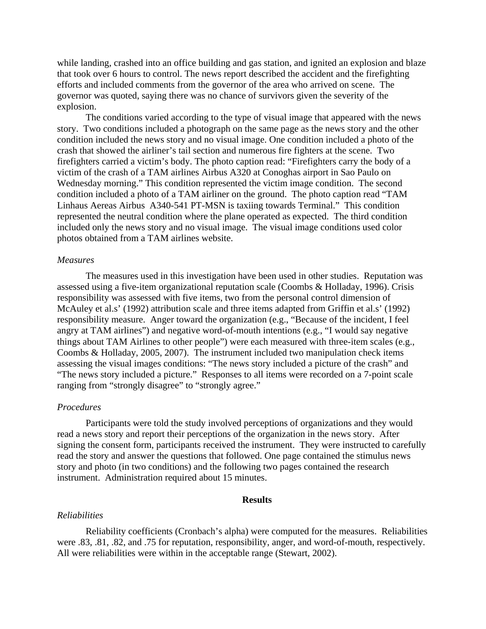while landing, crashed into an office building and gas station, and ignited an explosion and blaze that took over 6 hours to control. The news report described the accident and the firefighting efforts and included comments from the governor of the area who arrived on scene. The governor was quoted, saying there was no chance of survivors given the severity of the explosion.

The conditions varied according to the type of visual image that appeared with the news story. Two conditions included a photograph on the same page as the news story and the other condition included the news story and no visual image. One condition included a photo of the crash that showed the airliner's tail section and numerous fire fighters at the scene. Two firefighters carried a victim's body. The photo caption read: "Firefighters carry the body of a victim of the crash of a TAM airlines Airbus A320 at Conoghas airport in Sao Paulo on Wednesday morning." This condition represented the victim image condition. The second condition included a photo of a TAM airliner on the ground. The photo caption read "TAM Linhaus Aereas Airbus A340-541 PT-MSN is taxiing towards Terminal." This condition represented the neutral condition where the plane operated as expected. The third condition included only the news story and no visual image. The visual image conditions used color photos obtained from a TAM airlines website.

## *Measures*

The measures used in this investigation have been used in other studies. Reputation was assessed using a five-item organizational reputation scale (Coombs & Holladay, 1996). Crisis responsibility was assessed with five items, two from the personal control dimension of McAuley et al.s' (1992) attribution scale and three items adapted from Griffin et al.s' (1992) responsibility measure. Anger toward the organization (e.g., "Because of the incident, I feel angry at TAM airlines") and negative word-of-mouth intentions (e.g., "I would say negative things about TAM Airlines to other people") were each measured with three-item scales (e.g., Coombs & Holladay, 2005, 2007). The instrument included two manipulation check items assessing the visual images conditions: "The news story included a picture of the crash" and "The news story included a picture." Responses to all items were recorded on a 7-point scale ranging from "strongly disagree" to "strongly agree."

## *Procedures*

Participants were told the study involved perceptions of organizations and they would read a news story and report their perceptions of the organization in the news story. After signing the consent form, participants received the instrument. They were instructed to carefully read the story and answer the questions that followed. One page contained the stimulus news story and photo (in two conditions) and the following two pages contained the research instrument. Administration required about 15 minutes.

## **Results**

## *Reliabilities*

Reliability coefficients (Cronbach's alpha) were computed for the measures. Reliabilities were .83, .81, .82, and .75 for reputation, responsibility, anger, and word-of-mouth, respectively. All were reliabilities were within in the acceptable range (Stewart, 2002).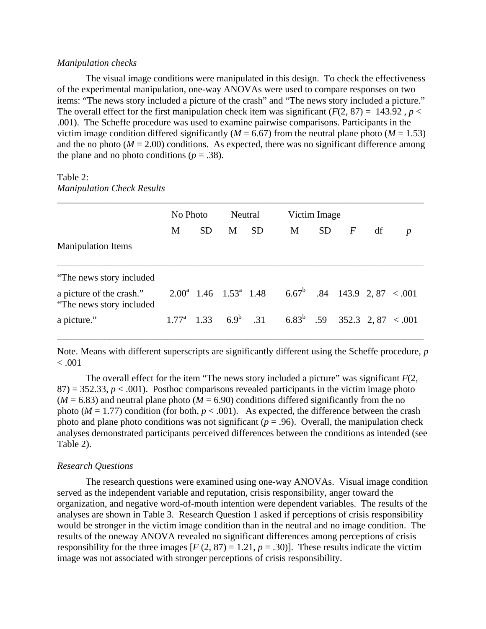#### *Manipulation checks*

The visual image conditions were manipulated in this design. To check the effectiveness of the experimental manipulation, one-way ANOVAs were used to compare responses on two items: "The news story included a picture of the crash" and "The news story included a picture." The overall effect for the first manipulation check item was significant  $(F(2, 87) = 143.92$ ,  $p <$ .001). The Scheffe procedure was used to examine pairwise comparisons. Participants in the victim image condition differed significantly ( $M = 6.67$ ) from the neutral plane photo ( $M = 1.53$ ) and the no photo  $(M = 2.00)$  conditions. As expected, there was no significant difference among the plane and no photo conditions ( $p = .38$ ).

# Table 2: *Manipulation Check Results*

|                                                       | No Photo |           | Neutral |           | Victim Image                                                                         |           |                  |    |                  |
|-------------------------------------------------------|----------|-----------|---------|-----------|--------------------------------------------------------------------------------------|-----------|------------------|----|------------------|
|                                                       | M        | <b>SD</b> | M       | <b>SD</b> | M                                                                                    | <b>SD</b> | $\boldsymbol{F}$ | df | $\boldsymbol{p}$ |
| <b>Manipulation Items</b>                             |          |           |         |           |                                                                                      |           |                  |    |                  |
| "The news story included"                             |          |           |         |           |                                                                                      |           |                  |    |                  |
| a picture of the crash."<br>"The news story included" |          |           |         |           | $2.00^a$ 1.46 1.53 <sup>a</sup> 1.48 6.67 <sup>b</sup> .84 143.9 2, 87 < 001         |           |                  |    |                  |
| a picture."                                           |          |           |         |           | 1.77 <sup>a</sup> 1.33 6.9 <sup>b</sup> .31 6.83 <sup>b</sup> .59 352.3 2, 87 < .001 |           |                  |    |                  |

Note. Means with different superscripts are significantly different using the Scheffe procedure, *p*  $< .001$ 

The overall effect for the item "The news story included a picture" was significant *F*(2,  $87$ ) = 352.33,  $p < .001$ ). Posthoc comparisons revealed participants in the victim image photo  $(M = 6.83)$  and neutral plane photo  $(M = 6.90)$  conditions differed significantly from the no photo ( $M = 1.77$ ) condition (for both,  $p < .001$ ). As expected, the difference between the crash photo and plane photo conditions was not significant ( $p = .96$ ). Overall, the manipulation check analyses demonstrated participants perceived differences between the conditions as intended (see Table 2).

# *Research Questions*

The research questions were examined using one-way ANOVAs. Visual image condition served as the independent variable and reputation, crisis responsibility, anger toward the organization, and negative word-of-mouth intention were dependent variables. The results of the analyses are shown in Table 3. Research Question 1 asked if perceptions of crisis responsibility would be stronger in the victim image condition than in the neutral and no image condition. The results of the oneway ANOVA revealed no significant differences among perceptions of crisis responsibility for the three images  $[F (2, 87) = 1.21, p = .30)]$ . These results indicate the victim image was not associated with stronger perceptions of crisis responsibility.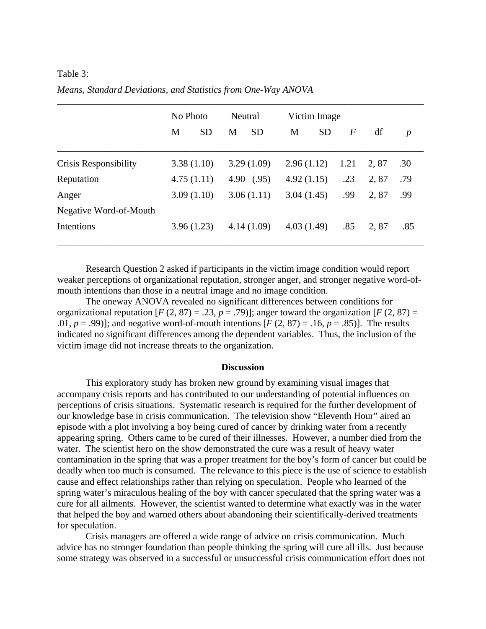# Table 3:

|                        | No Photo |            | Neutral |              | Victim Image |           |                  |      |                  |
|------------------------|----------|------------|---------|--------------|--------------|-----------|------------------|------|------------------|
|                        | M        | <b>SD</b>  | M       | <b>SD</b>    | M            | <b>SD</b> | $\boldsymbol{F}$ | df   | $\boldsymbol{p}$ |
| Crisis Responsibility  |          | 3.38(1.10) |         | 3.29(1.09)   | 2.96(1.12)   |           | 1.21             | 2,87 | .30              |
| Reputation             |          | 4.75(1.11) |         | 4.90 $(.95)$ | 4.92(1.15)   |           | .23              | 2,87 | .79              |
| Anger                  |          | 3.09(1.10) |         | 3.06(1.11)   | 3.04(1.45)   |           | .99              | 2,87 | .99              |
| Negative Word-of-Mouth |          |            |         |              |              |           |                  |      |                  |
| Intentions             |          | 3.96(1.23) |         | 4.14(1.09)   | 4.03(1.49)   |           | .85              | 2,87 | .85              |

*Means, Standard Deviations, and Statistics from One-Way ANOVA* 

Research Question 2 asked if participants in the victim image condition would report weaker perceptions of organizational reputation, stronger anger, and stronger negative word-ofmouth intentions than those in a neutral image and no image condition.

The oneway ANOVA revealed no significant differences between conditions for organizational reputation  $[F (2, 87) = .23, p = .79]$ ; anger toward the organization  $[F (2, 87) =$ .01,  $p = .99$ ); and negative word-of-mouth intentions  $[F(2, 87) = .16, p = .85)$ . The results indicated no significant differences among the dependent variables. Thus, the inclusion of the victim image did not increase threats to the organization.

#### **Discussion**

This exploratory study has broken new ground by examining visual images that accompany crisis reports and has contributed to our understanding of potential influences on perceptions of crisis situations. Systematic research is required for the further development of our knowledge base in crisis communication. The television show "Eleventh Hour" aired an episode with a plot involving a boy being cured of cancer by drinking water from a recently appearing spring. Others came to be cured of their illnesses. However, a number died from the water. The scientist hero on the show demonstrated the cure was a result of heavy water contamination in the spring that was a proper treatment for the boy's form of cancer but could be deadly when too much is consumed. The relevance to this piece is the use of science to establish cause and effect relationships rather than relying on speculation. People who learned of the spring water's miraculous healing of the boy with cancer speculated that the spring water was a cure for all ailments. However, the scientist wanted to determine what exactly was in the water that helped the boy and warned others about abandoning their scientifically-derived treatments for speculation.

Crisis managers are offered a wide range of advice on crisis communication. Much advice has no stronger foundation than people thinking the spring will cure all ills. Just because some strategy was observed in a successful or unsuccessful crisis communication effort does not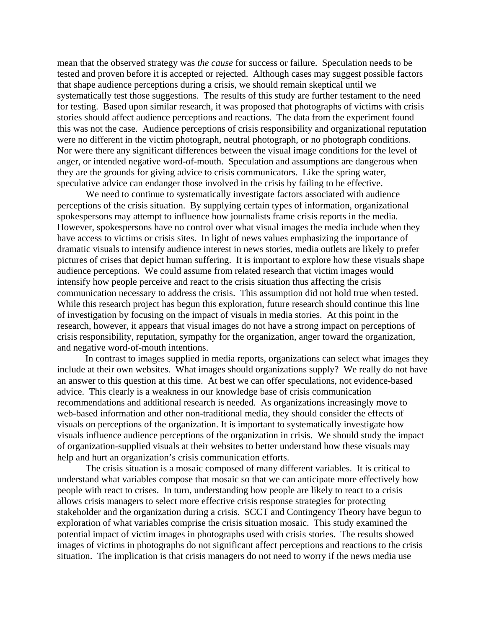mean that the observed strategy was *the cause* for success or failure. Speculation needs to be tested and proven before it is accepted or rejected. Although cases may suggest possible factors that shape audience perceptions during a crisis, we should remain skeptical until we systematically test those suggestions. The results of this study are further testament to the need for testing. Based upon similar research, it was proposed that photographs of victims with crisis stories should affect audience perceptions and reactions. The data from the experiment found this was not the case. Audience perceptions of crisis responsibility and organizational reputation were no different in the victim photograph, neutral photograph, or no photograph conditions. Nor were there any significant differences between the visual image conditions for the level of anger, or intended negative word-of-mouth. Speculation and assumptions are dangerous when they are the grounds for giving advice to crisis communicators. Like the spring water, speculative advice can endanger those involved in the crisis by failing to be effective.

We need to continue to systematically investigate factors associated with audience perceptions of the crisis situation. By supplying certain types of information, organizational spokespersons may attempt to influence how journalists frame crisis reports in the media. However, spokespersons have no control over what visual images the media include when they have access to victims or crisis sites. In light of news values emphasizing the importance of dramatic visuals to intensify audience interest in news stories, media outlets are likely to prefer pictures of crises that depict human suffering. It is important to explore how these visuals shape audience perceptions. We could assume from related research that victim images would intensify how people perceive and react to the crisis situation thus affecting the crisis communication necessary to address the crisis. This assumption did not hold true when tested. While this research project has begun this exploration, future research should continue this line of investigation by focusing on the impact of visuals in media stories. At this point in the research, however, it appears that visual images do not have a strong impact on perceptions of crisis responsibility, reputation, sympathy for the organization, anger toward the organization, and negative word-of-mouth intentions.

In contrast to images supplied in media reports, organizations can select what images they include at their own websites. What images should organizations supply? We really do not have an answer to this question at this time. At best we can offer speculations, not evidence-based advice. This clearly is a weakness in our knowledge base of crisis communication recommendations and additional research is needed. As organizations increasingly move to web-based information and other non-traditional media, they should consider the effects of visuals on perceptions of the organization. It is important to systematically investigate how visuals influence audience perceptions of the organization in crisis. We should study the impact of organization-supplied visuals at their websites to better understand how these visuals may help and hurt an organization's crisis communication efforts.

The crisis situation is a mosaic composed of many different variables. It is critical to understand what variables compose that mosaic so that we can anticipate more effectively how people with react to crises. In turn, understanding how people are likely to react to a crisis allows crisis managers to select more effective crisis response strategies for protecting stakeholder and the organization during a crisis. SCCT and Contingency Theory have begun to exploration of what variables comprise the crisis situation mosaic. This study examined the potential impact of victim images in photographs used with crisis stories. The results showed images of victims in photographs do not significant affect perceptions and reactions to the crisis situation. The implication is that crisis managers do not need to worry if the news media use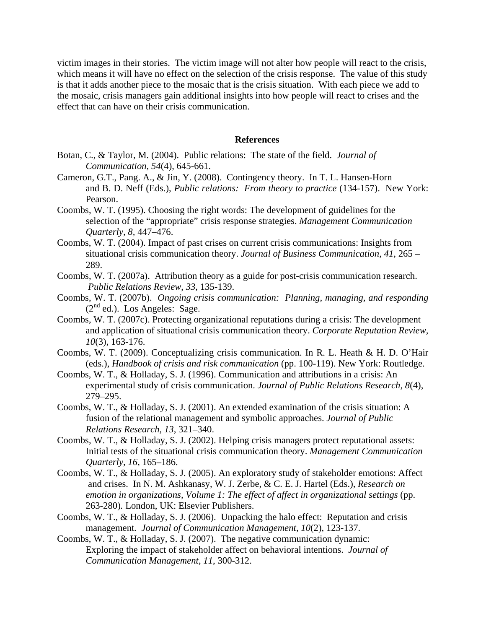victim images in their stories. The victim image will not alter how people will react to the crisis, which means it will have no effect on the selection of the crisis response. The value of this study is that it adds another piece to the mosaic that is the crisis situation. With each piece we add to the mosaic, crisis managers gain additional insights into how people will react to crises and the effect that can have on their crisis communication.

## **References**

- Botan, C., & Taylor, M. (2004). Public relations: The state of the field. *Journal of Communication*, *54*(4), 645-661.
- Cameron, G.T., Pang. A., & Jin, Y. (2008). Contingency theory. In T. L. Hansen-Horn and B. D. Neff (Eds.), *Public relations: From theory to practice* (134-157). New York: Pearson.
- Coombs, W. T. (1995). Choosing the right words: The development of guidelines for the selection of the "appropriate" crisis response strategies. *Management Communication Quarterly, 8,* 447–476.
- Coombs, W. T. (2004). Impact of past crises on current crisis communications: Insights from situational crisis communication theory. *Journal of Business Communication, 41*, 265 – 289.
- Coombs, W. T. (2007a). Attribution theory as a guide for post-crisis communication research. *Public Relations Review*, *33*, 135-139.
- Coombs, W. T. (2007b). *Ongoing crisis communication: Planning, managing, and responding*   $(2<sup>nd</sup>$  ed.). Los Angeles: Sage.
- Coombs, W. T. (2007c). Protecting organizational reputations during a crisis: The development and application of situational crisis communication theory. *Corporate Reputation Review, 10*(3), 163-176.
- Coombs, W. T. (2009). Conceptualizing crisis communication. In R. L. Heath & H. D. O'Hair (eds.), *Handbook of crisis and risk communication* (pp. 100-119). New York: Routledge.
- Coombs, W. T., & Holladay, S. J. (1996). Communication and attributions in a crisis: An experimental study of crisis communication. *Journal of Public Relations Research, 8*(4), 279–295.
- Coombs, W. T., & Holladay, S. J. (2001). An extended examination of the crisis situation: A fusion of the relational management and symbolic approaches. *Journal of Public Relations Research, 13*, 321–340.
- Coombs, W. T., & Holladay, S. J. (2002). Helping crisis managers protect reputational assets: Initial tests of the situational crisis communication theory. *Management Communication Quarterly, 16*, 165–186.
- Coombs, W. T., & Holladay, S. J. (2005). An exploratory study of stakeholder emotions: Affect and crises. In N. M. Ashkanasy, W. J. Zerbe, & C. E. J. Hartel (Eds.), *Research on emotion in organizations, Volume 1: The effect of affect in organizational settings (pp.* 263-280)*.* London, UK: Elsevier Publishers.
- Coombs, W. T., & Holladay, S. J. (2006). Unpacking the halo effect: Reputation and crisis management*. Journal of Communication Management*, *10*(2), 123-137.
- Coombs, W. T., & Holladay, S. J. (2007). The negative communication dynamic: Exploring the impact of stakeholder affect on behavioral intentions. *Journal of Communication Management*, *11*, 300-312.